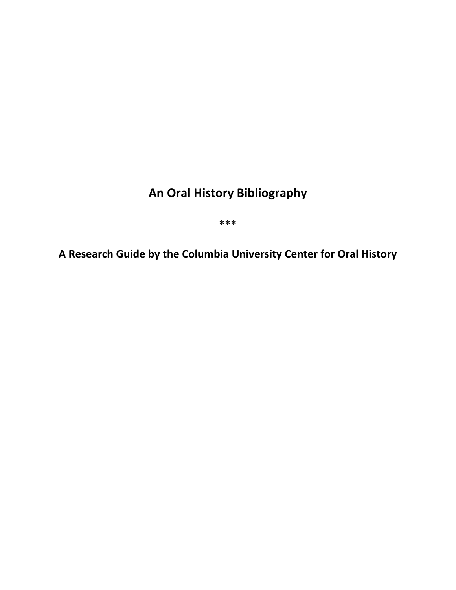# **An Oral History Bibliography**

**\*\*\***

**A Research Guide by the Columbia University Center for Oral History**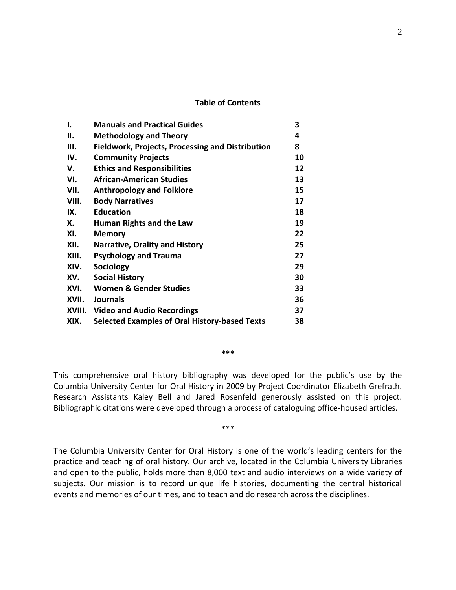#### **Table of Contents**

| ı.     | <b>Manuals and Practical Guides</b>                     | 3  |
|--------|---------------------------------------------------------|----|
| П.     | <b>Methodology and Theory</b>                           | 4  |
| Ш.     | <b>Fieldwork, Projects, Processing and Distribution</b> | 8  |
| IV.    | <b>Community Projects</b>                               | 10 |
| v.     | <b>Ethics and Responsibilities</b>                      | 12 |
| VI.    | African-American Studies                                | 13 |
| VII.   | <b>Anthropology and Folklore</b>                        | 15 |
| VIII.  | <b>Body Narratives</b>                                  | 17 |
| IX.    | <b>Education</b>                                        | 18 |
| Х.     | Human Rights and the Law                                | 19 |
| XI.    | <b>Memory</b>                                           | 22 |
| XII.   | <b>Narrative, Orality and History</b>                   | 25 |
| XIII.  | <b>Psychology and Trauma</b>                            | 27 |
| XIV.   | Sociology                                               | 29 |
| XV.    | <b>Social History</b>                                   | 30 |
| XVI.   | <b>Women &amp; Gender Studies</b>                       | 33 |
| XVII.  | <b>Journals</b>                                         | 36 |
| XVIII. | <b>Video and Audio Recordings</b>                       | 37 |
| XIX.   | Selected Examples of Oral History-based Texts           | 38 |

This comprehensive oral history bibliography was developed for the public's use by the Columbia University Center for Oral History in 2009 by Project Coordinator Elizabeth Grefrath. Research Assistants Kaley Bell and Jared Rosenfeld generously assisted on this project. Bibliographic citations were developed through a process of cataloguing office-housed articles.

**\*\*\***

\*\*\*

The Columbia University Center for Oral History is one of the world's leading centers for the practice and teaching of oral history. Our archive, located in the Columbia University Libraries and open to the public, holds more than 8,000 text and audio interviews on a wide variety of subjects. Our mission is to record unique life histories, documenting the central historical events and memories of our times, and to teach and do research across the disciplines.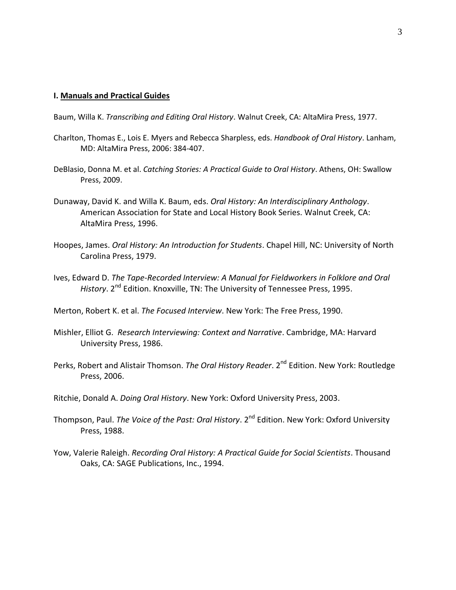#### **I. Manuals and Practical Guides**

Baum, Willa K. *Transcribing and Editing Oral History*. Walnut Creek, CA: AltaMira Press, 1977.

- Charlton, Thomas E., Lois E. Myers and Rebecca Sharpless, eds. *Handbook of Oral History*. Lanham, MD: AltaMira Press, 2006: 384-407.
- DeBlasio, Donna M. et al. *Catching Stories: A Practical Guide to Oral History*. Athens, OH: Swallow Press, 2009.
- Dunaway, David K. and Willa K. Baum, eds. *Oral History: An Interdisciplinary Anthology*. American Association for State and Local History Book Series. Walnut Creek, CA: AltaMira Press, 1996.
- Hoopes, James. *Oral History: An Introduction for Students*. Chapel Hill, NC: University of North Carolina Press, 1979.
- Ives, Edward D. *The Tape-Recorded Interview: A Manual for Fieldworkers in Folklore and Oral*  History. 2<sup>nd</sup> Edition. Knoxville, TN: The University of Tennessee Press, 1995.

Merton, Robert K. et al. *The Focused Interview*. New York: The Free Press, 1990.

- Mishler, Elliot G. *Research Interviewing: Context and Narrative*. Cambridge, MA: Harvard University Press, 1986.
- Perks, Robert and Alistair Thomson. *The Oral History Reader*. 2<sup>nd</sup> Edition. New York: Routledge Press, 2006.
- Ritchie, Donald A. *Doing Oral History*. New York: Oxford University Press, 2003.
- Thompson, Paul. *The Voice of the Past: Oral History*. 2<sup>nd</sup> Edition. New York: Oxford University Press, 1988.
- Yow, Valerie Raleigh. *Recording Oral History: A Practical Guide for Social Scientists*. Thousand Oaks, CA: SAGE Publications, Inc., 1994.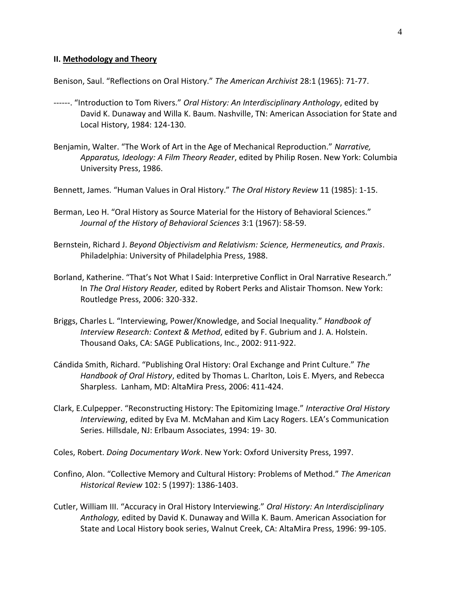#### **II. Methodology and Theory**

Benison, Saul. "Reflections on Oral History." *The American Archivist* 28:1 (1965): 71-77.

- ------. "Introduction to Tom Rivers." *Oral History: An Interdisciplinary Anthology*, edited by David K. Dunaway and Willa K. Baum. Nashville, TN: American Association for State and Local History, 1984: 124-130.
- Benjamin, Walter. "The Work of Art in the Age of Mechanical Reproduction." *Narrative, Apparatus, Ideology: A Film Theory Reader*, edited by Philip Rosen. New York: Columbia University Press, 1986.
- Bennett, James. "Human Values in Oral History." *The Oral History Review* 11 (1985): 1-15.
- Berman, Leo H. "Oral History as Source Material for the History of Behavioral Sciences." *Journal of the History of Behavioral Sciences* 3:1 (1967): 58-59.
- Bernstein, Richard J. *Beyond Objectivism and Relativism: Science, Hermeneutics, and Praxis*. Philadelphia: University of Philadelphia Press, 1988.
- Borland, Katherine. "That's Not What I Said: Interpretive Conflict in Oral Narrative Research." In *The Oral History Reader,* edited by Robert Perks and Alistair Thomson. New York: Routledge Press, 2006: 320-332.
- Briggs, Charles L. "Interviewing, Power/Knowledge, and Social Inequality." *Handbook of Interview Research: Context & Method*, edited by F. Gubrium and J. A. Holstein. Thousand Oaks, CA: SAGE Publications, Inc., 2002: 911-922.
- Cándida Smith, Richard. "Publishing Oral History: Oral Exchange and Print Culture." *The Handbook of Oral History*, edited by Thomas L. Charlton, Lois E. Myers, and Rebecca Sharpless. Lanham, MD: AltaMira Press, 2006: 411-424.
- Clark, E.Culpepper. "Reconstructing History: The Epitomizing Image." *Interactive Oral History Interviewing*, edited by Eva M. McMahan and Kim Lacy Rogers. LEA's Communication Series. Hillsdale, NJ: Erlbaum Associates, 1994: 19- 30.
- Coles, Robert. *Doing Documentary Work*. New York: Oxford University Press, 1997.
- Confino, Alon. "Collective Memory and Cultural History: Problems of Method." *The American Historical Review* 102: 5 (1997): 1386-1403.
- Cutler, William III. "Accuracy in Oral History Interviewing." *Oral History: An Interdisciplinary Anthology,* edited by David K. Dunaway and Willa K. Baum. American Association for State and Local History book series, Walnut Creek, CA: AltaMira Press, 1996: 99-105.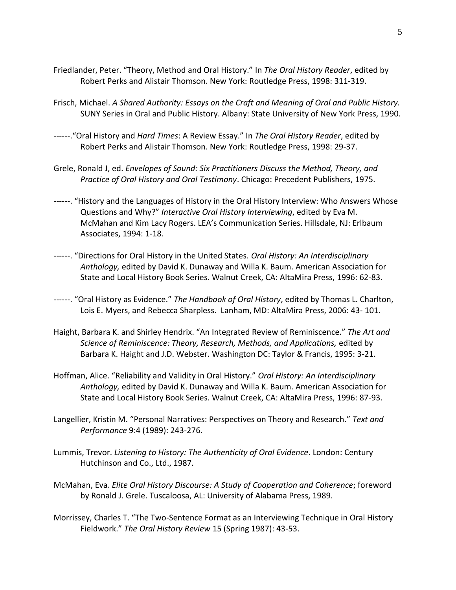- Friedlander, Peter. "Theory, Method and Oral History." In *The Oral History Reader*, edited by Robert Perks and Alistair Thomson. New York: Routledge Press, 1998: 311-319.
- Frisch, Michael. *A Shared Authority: Essays on the Craft and Meaning of Oral and Public History.* SUNY Series in Oral and Public History. Albany: State University of New York Press, 1990.
- ------."Oral History and *Hard Times*: A Review Essay." In *The Oral History Reader*, edited by Robert Perks and Alistair Thomson. New York: Routledge Press, 1998: 29-37.
- Grele, Ronald J, ed. *Envelopes of Sound: Six Practitioners Discuss the Method, Theory, and Practice of Oral History and Oral Testimony*. Chicago: Precedent Publishers, 1975.
- ------. "History and the Languages of History in the Oral History Interview: Who Answers Whose Questions and Why?" *Interactive Oral History Interviewing*, edited by Eva M. McMahan and Kim Lacy Rogers. LEA's Communication Series. Hillsdale, NJ: Erlbaum Associates, 1994: 1-18.
- ------. "Directions for Oral History in the United States. *Oral History: An Interdisciplinary Anthology,* edited by David K. Dunaway and Willa K. Baum. American Association for State and Local History Book Series. Walnut Creek, CA: AltaMira Press, 1996: 62-83.
- ------. "Oral History as Evidence." *The Handbook of Oral History*, edited by Thomas L. Charlton, Lois E. Myers, and Rebecca Sharpless. Lanham, MD: AltaMira Press, 2006: 43- 101.
- Haight, Barbara K. and Shirley Hendrix. "An Integrated Review of Reminiscence." *The Art and Science of Reminiscence: Theory, Research, Methods, and Applications,* edited by Barbara K. Haight and J.D. Webster. Washington DC: Taylor & Francis, 1995: 3-21.
- Hoffman, Alice. "Reliability and Validity in Oral History." *Oral History: An Interdisciplinary Anthology,* edited by David K. Dunaway and Willa K. Baum. American Association for State and Local History Book Series. Walnut Creek, CA: AltaMira Press, 1996: 87-93.
- Langellier, Kristin M. "Personal Narratives: Perspectives on Theory and Research." *Text and Performance* 9:4 (1989): 243-276.
- Lummis, Trevor. *Listening to History: The Authenticity of Oral Evidence*. London: Century Hutchinson and Co., Ltd., 1987.
- McMahan, Eva. *Elite Oral History Discourse: A Study of Cooperation and Coherence*; foreword by Ronald J. Grele. Tuscaloosa, AL: University of Alabama Press, 1989.
- Morrissey, Charles T. "The Two-Sentence Format as an Interviewing Technique in Oral History Fieldwork." *The Oral History Review* 15 (Spring 1987): 43-53.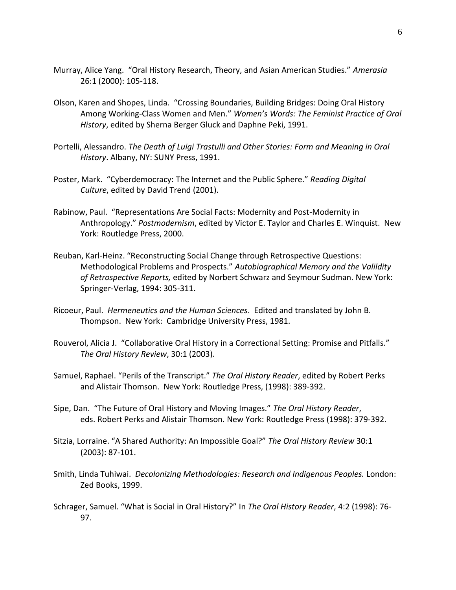- Murray, Alice Yang. "Oral History Research, Theory, and Asian American Studies." *Amerasia* 26:1 (2000): 105-118.
- Olson, Karen and Shopes, Linda. "Crossing Boundaries, Building Bridges: Doing Oral History Among Working-Class Women and Men." *Women's Words: The Feminist Practice of Oral History*, edited by Sherna Berger Gluck and Daphne Peki, 1991.
- Portelli, Alessandro. *The Death of Luigi Trastulli and Other Stories: Form and Meaning in Oral History*. Albany, NY: SUNY Press, 1991.
- Poster, Mark. "Cyberdemocracy: The Internet and the Public Sphere." *Reading Digital Culture*, edited by David Trend (2001).
- Rabinow, Paul. "Representations Are Social Facts: Modernity and Post-Modernity in Anthropology." *Postmodernism*, edited by Victor E. Taylor and Charles E. Winquist. New York: Routledge Press, 2000.
- Reuban, Karl-Heinz. "Reconstructing Social Change through Retrospective Questions: Methodological Problems and Prospects." *Autobiographical Memory and the Valildity of Retrospective Reports,* edited by Norbert Schwarz and Seymour Sudman. New York: Springer-Verlag, 1994: 305-311.
- Ricoeur, Paul. *Hermeneutics and the Human Sciences*. Edited and translated by John B. Thompson. New York: Cambridge University Press, 1981.
- Rouverol, Alicia J. "Collaborative Oral History in a Correctional Setting: Promise and Pitfalls." *The Oral History Review*, 30:1 (2003).
- Samuel, Raphael. "Perils of the Transcript." *The Oral History Reader*, edited by Robert Perks and Alistair Thomson. New York: Routledge Press, (1998): 389-392.
- Sipe, Dan. "The Future of Oral History and Moving Images." *The Oral History Reader*, eds. Robert Perks and Alistair Thomson. New York: Routledge Press (1998): 379-392.
- Sitzia, Lorraine. "A Shared Authority: An Impossible Goal?" *The Oral History Review* 30:1 (2003): 87-101.
- Smith, Linda Tuhiwai. *Decolonizing Methodologies: Research and Indigenous Peoples.* London: Zed Books, 1999.
- Schrager, Samuel. "What is Social in Oral History?" In *The Oral History Reader*, 4:2 (1998): 76- 97.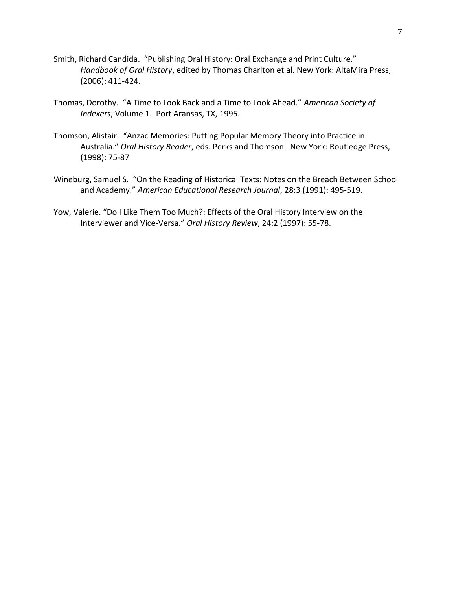- Smith, Richard Candida. "Publishing Oral History: Oral Exchange and Print Culture." *Handbook of Oral History*, edited by Thomas Charlton et al. New York: AltaMira Press, (2006): 411-424.
- Thomas, Dorothy. "A Time to Look Back and a Time to Look Ahead." *American Society of Indexers*, Volume 1. Port Aransas, TX, 1995.
- Thomson, Alistair. "Anzac Memories: Putting Popular Memory Theory into Practice in Australia." *Oral History Reader*, eds. Perks and Thomson. New York: Routledge Press, (1998): 75-87
- Wineburg, Samuel S. "On the Reading of Historical Texts: Notes on the Breach Between School and Academy." *American Educational Research Journal*, 28:3 (1991): 495-519.
- Yow, Valerie. "Do I Like Them Too Much?: Effects of the Oral History Interview on the Interviewer and Vice-Versa." *Oral History Review*, 24:2 (1997): 55-78.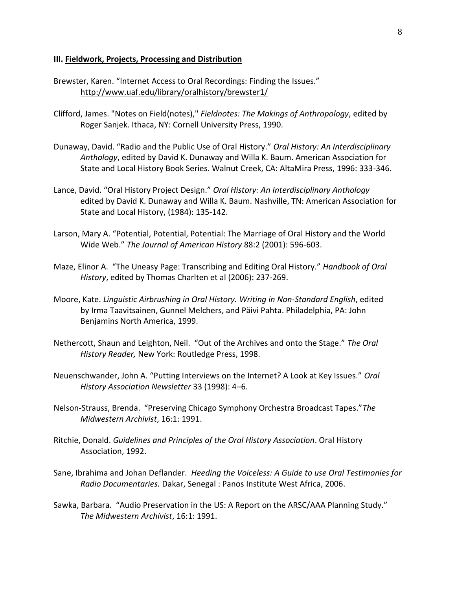#### **III. Fieldwork, Projects, Processing and Distribution**

Brewster, Karen. "Internet Access to Oral Recordings: Finding the Issues." http://www.uaf.edu/library/oralhistory/brewster1/

- Clifford, James. "Notes on Field(notes)," *Fieldnotes: The Makings of Anthropology*, edited by Roger Sanjek. Ithaca, NY: Cornell University Press, 1990.
- Dunaway, David. "Radio and the Public Use of Oral History." *Oral History: An Interdisciplinary Anthology*, edited by David K. Dunaway and Willa K. Baum. American Association for State and Local History Book Series. Walnut Creek, CA: AltaMira Press, 1996: 333-346.
- Lance, David. "Oral History Project Design." *Oral History: An Interdisciplinary Anthology*  edited by David K. Dunaway and Willa K. Baum. Nashville, TN: American Association for State and Local History, (1984): 135-142.
- Larson, Mary A. "Potential, Potential, Potential: The Marriage of Oral History and the World Wide Web." *The Journal of American History* 88:2 (2001): 596-603.
- Maze, Elinor A. "The Uneasy Page: Transcribing and Editing Oral History." *Handbook of Oral History*, edited by Thomas Charlten et al (2006): 237-269.
- Moore, Kate. *Linguistic Airbrushing in Oral History. Writing in Non-Standard English*, edited by Irma Taavitsainen, Gunnel Melchers, and Päivi Pahta. Philadelphia, PA: John Benjamins North America, 1999.
- Nethercott, Shaun and Leighton, Neil. "Out of the Archives and onto the Stage." *The Oral History Reader,* New York: Routledge Press, 1998.
- Neuenschwander, John A. "Putting Interviews on the Internet? A Look at Key Issues." *Oral History Association Newsletter* 33 (1998): 4–6.
- Nelson-Strauss, Brenda. "Preserving Chicago Symphony Orchestra Broadcast Tapes."*The Midwestern Archivist*, 16:1: 1991.
- Ritchie, Donald. *Guidelines and Principles of the Oral History Association*. Oral History Association, 1992.
- Sane, Ibrahima and Johan Deflander. *Heeding the Voiceless: A Guide to use Oral Testimonies for Radio Documentaries.* Dakar, Senegal : Panos Institute West Africa, 2006.
- Sawka, Barbara. "Audio Preservation in the US: A Report on the ARSC/AAA Planning Study." *The Midwestern Archivist*, 16:1: 1991.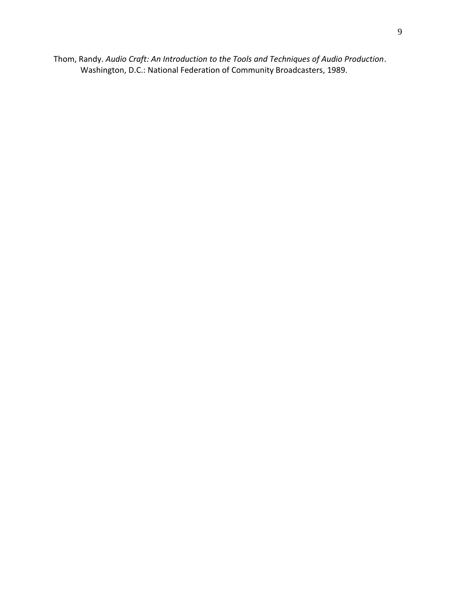Thom, Randy. *Audio Craft: An Introduction to the Tools and Techniques of Audio Production*. Washington, D.C.: National Federation of Community Broadcasters, 1989.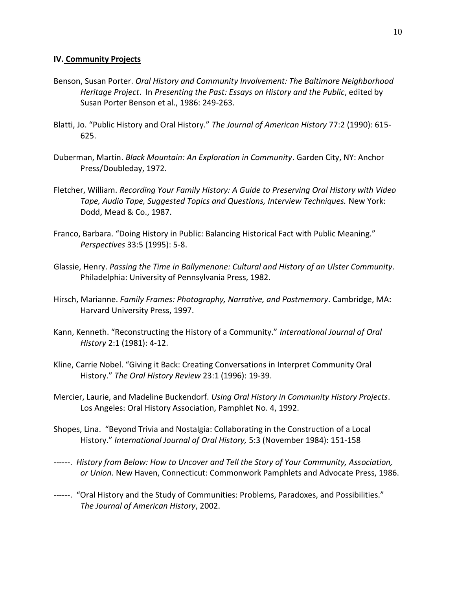#### **IV. Community Projects**

- Benson, Susan Porter. *Oral History and Community Involvement: The Baltimore Neighborhood Heritage Project*. In *Presenting the Past: Essays on History and the Public*, edited by Susan Porter Benson et al., 1986: 249-263.
- Blatti, Jo. "Public History and Oral History." *The Journal of American History* 77:2 (1990): 615- 625.
- Duberman, Martin. *Black Mountain: An Exploration in Community*. Garden City, NY: Anchor Press/Doubleday, 1972.
- Fletcher, William. *Recording Your Family History: A Guide to Preserving Oral History with Video Tape, Audio Tape, Suggested Topics and Questions, Interview Techniques.* New York: Dodd, Mead & Co., 1987.
- Franco, Barbara. "Doing History in Public: Balancing Historical Fact with Public Meaning." *Perspectives* 33:5 (1995): 5-8.
- Glassie, Henry. *Passing the Time in Ballymenone: Cultural and History of an Ulster Community*. Philadelphia: University of Pennsylvania Press, 1982.
- Hirsch, Marianne. *Family Frames: Photography, Narrative, and Postmemory*. Cambridge, MA: Harvard University Press, 1997.
- Kann, Kenneth. "Reconstructing the History of a Community." *International Journal of Oral History* 2:1 (1981): 4-12.
- Kline, Carrie Nobel. "Giving it Back: Creating Conversations in Interpret Community Oral History." *The Oral History Review* 23:1 (1996): 19-39.
- Mercier, Laurie, and Madeline Buckendorf. *Using Oral History in Community History Projects*. Los Angeles: Oral History Association, Pamphlet No. 4, 1992.
- Shopes, Lina. "Beyond Trivia and Nostalgia: Collaborating in the Construction of a Local History." *International Journal of Oral History,* 5:3 (November 1984): 151-158
- ------. *History from Below: How to Uncover and Tell the Story of Your Community, Association, or Union*. New Haven, Connecticut: Commonwork Pamphlets and Advocate Press, 1986.
- ------. "Oral History and the Study of Communities: Problems, Paradoxes, and Possibilities." *The Journal of American History*, 2002.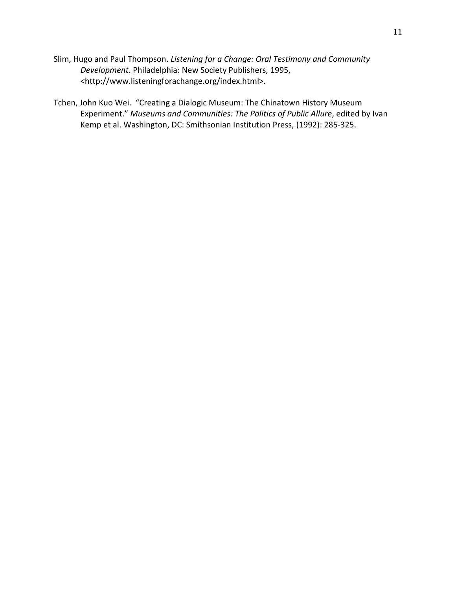Slim, Hugo and Paul Thompson. *Listening for a Change: Oral Testimony and Community Development*. Philadelphia: New Society Publishers, 1995, <http://www.listeningforachange.org/index.html>.

Tchen, John Kuo Wei. "Creating a Dialogic Museum: The Chinatown History Museum Experiment." *Museums and Communities: The Politics of Public Allure*, edited by Ivan Kemp et al. Washington, DC: Smithsonian Institution Press, (1992): 285-325.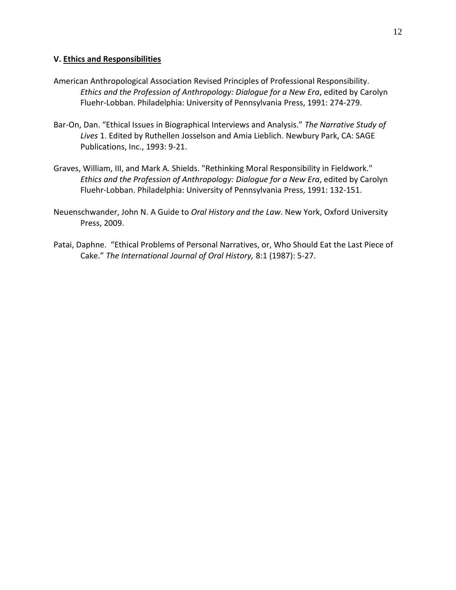## **V. Ethics and Responsibilities**

- American Anthropological Association Revised Principles of Professional Responsibility. *Ethics and the Profession of Anthropology: Dialogue for a New Era*, edited by Carolyn Fluehr-Lobban. Philadelphia: University of Pennsylvania Press, 1991: 274-279.
- Bar-On, Dan. "Ethical Issues in Biographical Interviews and Analysis." *The Narrative Study of Lives* 1. Edited by Ruthellen Josselson and Amia Lieblich. Newbury Park, CA: SAGE Publications, Inc., 1993: 9-21.
- Graves, William, III, and Mark A. Shields. "Rethinking Moral Responsibility in Fieldwork." *Ethics and the Profession of Anthropology: Dialogue for a New Era*, edited by Carolyn Fluehr-Lobban. Philadelphia: University of Pennsylvania Press, 1991: 132-151.
- Neuenschwander, John N. A Guide to *Oral History and the Law*. New York, Oxford University Press, 2009.
- Patai, Daphne. "Ethical Problems of Personal Narratives, or, Who Should Eat the Last Piece of Cake." *The International Journal of Oral History,* 8:1 (1987): 5-27.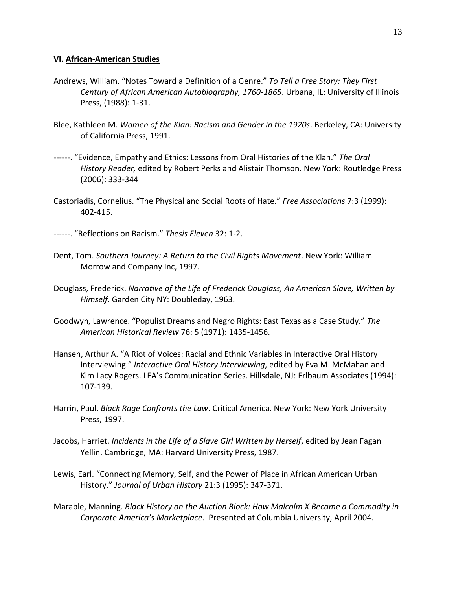#### **VI. African-American Studies**

- Andrews, William. "Notes Toward a Definition of a Genre." *To Tell a Free Story: They First Century of African American Autobiography, 1760-1865*. Urbana, IL: University of Illinois Press, (1988): 1-31.
- Blee, Kathleen M. *Women of the Klan: Racism and Gender in the 1920s*. Berkeley, CA: University of California Press, 1991.
- ------. "Evidence, Empathy and Ethics: Lessons from Oral Histories of the Klan." *The Oral History Reader,* edited by Robert Perks and Alistair Thomson. New York: Routledge Press (2006): 333-344
- Castoriadis, Cornelius. "The Physical and Social Roots of Hate." *Free Associations* 7:3 (1999): 402-415.
- ------. "Reflections on Racism." *Thesis Eleven* 32: 1-2.
- Dent, Tom. *Southern Journey: A Return to the Civil Rights Movement*. New York: William Morrow and Company Inc, 1997.
- Douglass, Frederick. *Narrative of the Life of Frederick Douglass, An American Slave, Written by Himself.* Garden City NY: Doubleday, 1963.
- Goodwyn, Lawrence. "Populist Dreams and Negro Rights: East Texas as a Case Study." *The American Historical Review* 76: 5 (1971): 1435-1456.
- Hansen, Arthur A. "A Riot of Voices: Racial and Ethnic Variables in Interactive Oral History Interviewing." *Interactive Oral History Interviewing*, edited by Eva M. McMahan and Kim Lacy Rogers. LEA's Communication Series. Hillsdale, NJ: Erlbaum Associates (1994): 107-139.
- Harrin, Paul. *Black Rage Confronts the Law*. Critical America. New York: New York University Press, 1997.
- Jacobs, Harriet. *Incidents in the Life of a Slave Girl Written by Herself*, edited by Jean Fagan Yellin. Cambridge, MA: Harvard University Press, 1987.
- Lewis, Earl. "Connecting Memory, Self, and the Power of Place in African American Urban History." *Journal of Urban History* 21:3 (1995): 347-371.
- Marable, Manning. *Black History on the Auction Block: How Malcolm X Became a Commodity in Corporate America's Marketplace*. Presented at Columbia University, April 2004.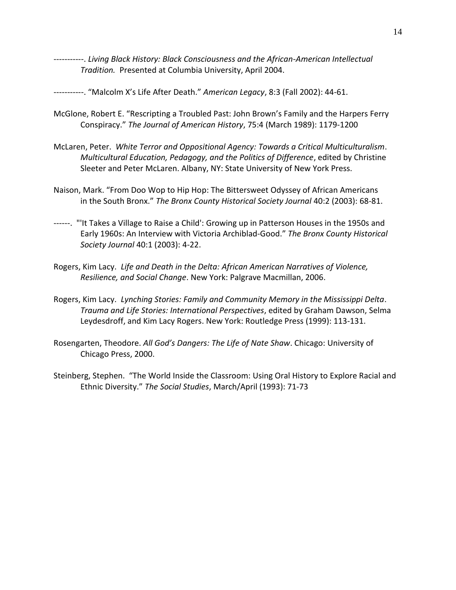-----------. *Living Black History: Black Consciousness and the African-American Intellectual Tradition.* Presented at Columbia University, April 2004.

-----------. "Malcolm X's Life After Death." *American Legacy*, 8:3 (Fall 2002): 44-61.

- McGlone, Robert E. "Rescripting a Troubled Past: John Brown's Family and the Harpers Ferry Conspiracy." *The Journal of American History*, 75:4 (March 1989): 1179-1200
- McLaren, Peter. *White Terror and Oppositional Agency: Towards a Critical Multiculturalism*. *Multicultural Education, Pedagogy, and the Politics of Difference*, edited by Christine Sleeter and Peter McLaren. Albany, NY: State University of New York Press.
- Naison, Mark. "From Doo Wop to Hip Hop: The Bittersweet Odyssey of African Americans in the South Bronx." *The Bronx County Historical Society Journal* 40:2 (2003): 68-81.
- ------. "'It Takes a Village to Raise a Child': Growing up in Patterson Houses in the 1950s and Early 1960s: An Interview with Victoria Archiblad-Good." *The Bronx County Historical Society Journal* 40:1 (2003): 4-22.
- Rogers, Kim Lacy. *Life and Death in the Delta: African American Narratives of Violence, Resilience, and Social Change*. New York: Palgrave Macmillan, 2006.
- Rogers, Kim Lacy. *Lynching Stories: Family and Community Memory in the Mississippi Delta*. *Trauma and Life Stories: International Perspectives*, edited by Graham Dawson, Selma Leydesdroff, and Kim Lacy Rogers. New York: Routledge Press (1999): 113-131.
- Rosengarten, Theodore. *All God's Dangers: The Life of Nate Shaw*. Chicago: University of Chicago Press, 2000.
- Steinberg, Stephen. "The World Inside the Classroom: Using Oral History to Explore Racial and Ethnic Diversity." *The Social Studies*, March/April (1993): 71-73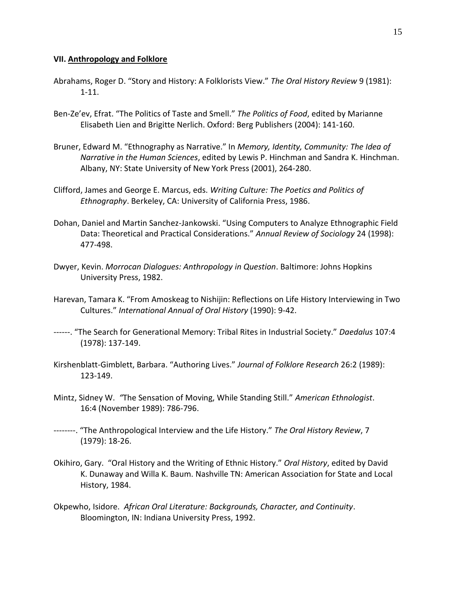#### **VII. Anthropology and Folklore**

- Abrahams, Roger D. "Story and History: A Folklorists View." *The Oral History Review* 9 (1981): 1-11.
- Ben-Ze'ev, Efrat. "The Politics of Taste and Smell." *The Politics of Food*, edited by Marianne Elisabeth Lien and Brigitte Nerlich. Oxford: Berg Publishers (2004): 141-160.
- Bruner, Edward M. "Ethnography as Narrative." In *Memory, Identity, Community: The Idea of Narrative in the Human Sciences*, edited by Lewis P. Hinchman and Sandra K. Hinchman. Albany, NY: State University of New York Press (2001), 264-280.
- Clifford, James and George E. Marcus, eds. *Writing Culture: The Poetics and Politics of Ethnography*. Berkeley, CA: University of California Press, 1986.
- Dohan, Daniel and Martin Sanchez-Jankowski. "Using Computers to Analyze Ethnographic Field Data: Theoretical and Practical Considerations." *Annual Review of Sociology* 24 (1998): 477-498.
- Dwyer, Kevin. *Morrocan Dialogues: Anthropology in Question*. Baltimore: Johns Hopkins University Press, 1982.
- Harevan, Tamara K. "From Amoskeag to Nishijin: Reflections on Life History Interviewing in Two Cultures." *International Annual of Oral History* (1990): 9-42.
- ------. "The Search for Generational Memory: Tribal Rites in Industrial Society." *Daedalus* 107:4 (1978): 137-149.
- Kirshenblatt-Gimblett, Barbara. "Authoring Lives." *Journal of Folklore Research* 26:2 (1989): 123-149.
- Mintz, Sidney W. *"*The Sensation of Moving, While Standing Still." *American Ethnologist*. 16:4 (November 1989): 786-796.
- --------. "The Anthropological Interview and the Life History." *The Oral History Review*, 7 (1979): 18-26.
- Okihiro, Gary. "Oral History and the Writing of Ethnic History." *Oral History*, edited by David K. Dunaway and Willa K. Baum. Nashville TN: American Association for State and Local History, 1984.
- Okpewho, Isidore. *African Oral Literature: Backgrounds, Character, and Continuity*. Bloomington, IN: Indiana University Press, 1992.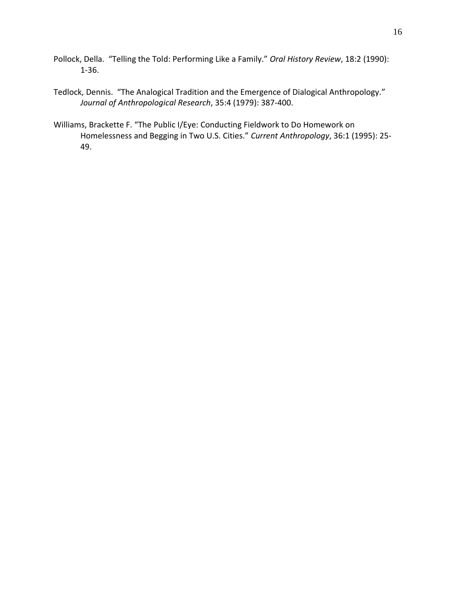- Pollock, Della. "Telling the Told: Performing Like a Family." *Oral History Review*, 18:2 (1990): 1-36.
- Tedlock, Dennis. "The Analogical Tradition and the Emergence of Dialogical Anthropology." *Journal of Anthropological Research*, 35:4 (1979): 387-400.
- Williams, Brackette F. "The Public I/Eye: Conducting Fieldwork to Do Homework on Homelessness and Begging in Two U.S. Cities." *Current Anthropology*, 36:1 (1995): 25- 49.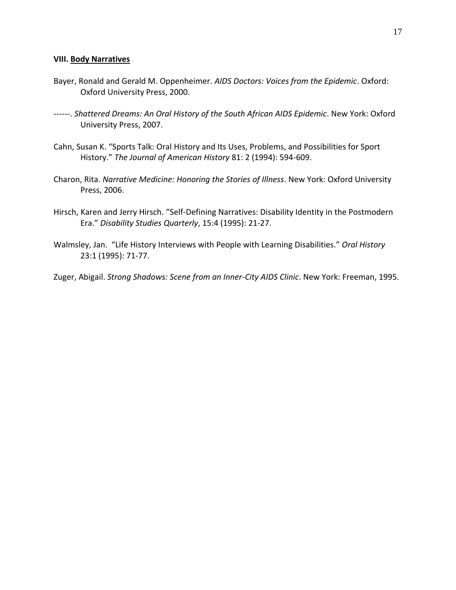#### **VIII. Body Narratives**

- Bayer, Ronald and Gerald M. Oppenheimer. *AIDS Doctors: Voices from the Epidemic*. Oxford: Oxford University Press, 2000.
- ------. *Shattered Dreams: An Oral History of the South African AIDS Epidemic*. New York: Oxford University Press, 2007.
- Cahn, Susan K. "Sports Talk: Oral History and Its Uses, Problems, and Possibilities for Sport History." *The Journal of American History* 81: 2 (1994): 594-609.
- Charon, Rita. *Narrative Medicine: Honoring the Stories of Illness*. New York: Oxford University Press, 2006.
- Hirsch, Karen and Jerry Hirsch. "Self-Defining Narratives: Disability Identity in the Postmodern Era." *Disability Studies Quarterly*, 15:4 (1995): 21-27.
- Walmsley, Jan. "Life History Interviews with People with Learning Disabilities." *Oral History* 23:1 (1995): 71-77.
- Zuger, Abigail. *Strong Shadows: Scene from an Inner-City AIDS Clinic*. New York: Freeman, 1995.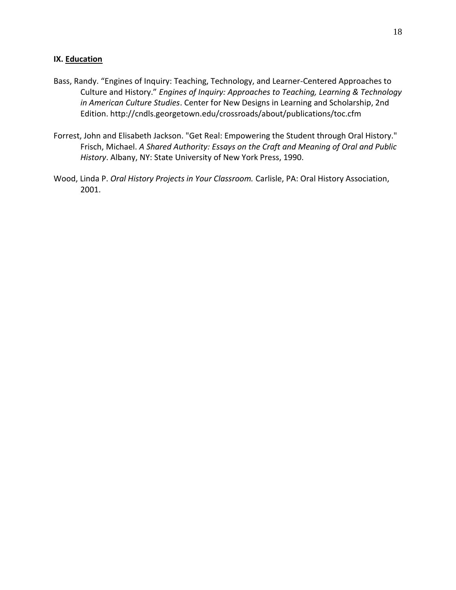## **IX. Education**

- Bass, Randy. "Engines of Inquiry: Teaching, Technology, and Learner-Centered Approaches to Culture and History." *Engines of Inquiry: Approaches to Teaching, Learning & Technology in American Culture Studies*. Center for New Designs in Learning and Scholarship, 2nd Edition. http://cndls.georgetown.edu/crossroads/about/publications/toc.cfm
- Forrest, John and Elisabeth Jackson. "Get Real: Empowering the Student through Oral History." Frisch, Michael. *A Shared Authority: Essays on the Craft and Meaning of Oral and Public History*. Albany, NY: State University of New York Press, 1990.
- Wood, Linda P. *Oral History Projects in Your Classroom.* Carlisle, PA: Oral History Association, 2001.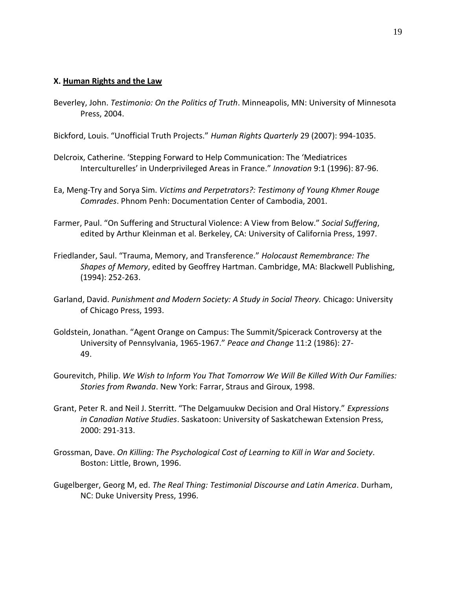#### **X. Human Rights and the Law**

Beverley, John. *Testimonio: On the Politics of Truth*. Minneapolis, MN: University of Minnesota Press, 2004.

Bickford, Louis. "Unofficial Truth Projects." *Human Rights Quarterly* 29 (2007): 994-1035.

- Delcroix, Catherine. 'Stepping Forward to Help Communication: The 'Mediatrices Interculturelles' in Underprivileged Areas in France." *Innovation* 9:1 (1996): 87-96.
- Ea, Meng-Try and Sorya Sim. *Victims and Perpetrators?: Testimony of Young Khmer Rouge Comrades*. Phnom Penh: Documentation Center of Cambodia, 2001.
- Farmer, Paul. "On Suffering and Structural Violence: A View from Below." *Social Suffering*, edited by Arthur Kleinman et al. Berkeley, CA: University of California Press, 1997.
- Friedlander, Saul. "Trauma, Memory, and Transference." *Holocaust Remembrance: The Shapes of Memory*, edited by Geoffrey Hartman. Cambridge, MA: Blackwell Publishing, (1994): 252-263.
- Garland, David. *Punishment and Modern Society: A Study in Social Theory.* Chicago: University of Chicago Press, 1993.
- Goldstein, Jonathan. "Agent Orange on Campus: The Summit/Spicerack Controversy at the University of Pennsylvania, 1965-1967." *Peace and Change* 11:2 (1986): 27- 49.
- Gourevitch, Philip. *We Wish to Inform You That Tomorrow We Will Be Killed With Our Families: Stories from Rwanda*. New York: Farrar, Straus and Giroux, 1998.
- Grant, Peter R. and Neil J. Sterritt. "The Delgamuukw Decision and Oral History." *Expressions in Canadian Native Studies*. Saskatoon: University of Saskatchewan Extension Press, 2000: 291-313.
- Grossman, Dave. *On Killing: The Psychological Cost of Learning to Kill in War and Society*. Boston: Little, Brown, 1996.
- Gugelberger, Georg M, ed. *The Real Thing: Testimonial Discourse and Latin America*. Durham, NC: Duke University Press, 1996.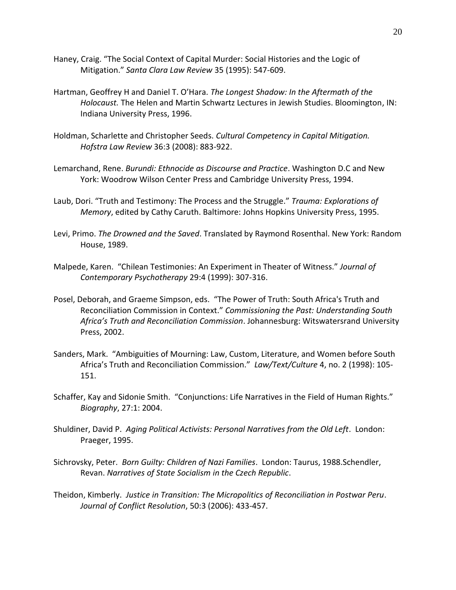- Haney, Craig. "The Social Context of Capital Murder: Social Histories and the Logic of Mitigation." *Santa Clara Law Review* 35 (1995): 547-609.
- Hartman, Geoffrey H and Daniel T. O'Hara. *The Longest Shadow: In the Aftermath of the Holocaust.* The Helen and Martin Schwartz Lectures in Jewish Studies. Bloomington, IN: Indiana University Press, 1996.
- Holdman, Scharlette and Christopher Seeds. *Cultural Competency in Capital Mitigation. Hofstra Law Review* 36:3 (2008): 883-922.
- Lemarchand, Rene. *Burundi: Ethnocide as Discourse and Practice*. Washington D.C and New York: Woodrow Wilson Center Press and Cambridge University Press, 1994.
- Laub, Dori. "Truth and Testimony: The Process and the Struggle." *Trauma: Explorations of Memory*, edited by Cathy Caruth. Baltimore: Johns Hopkins University Press, 1995.
- Levi, Primo. *The Drowned and the Saved*. Translated by Raymond Rosenthal. New York: Random House, 1989.
- Malpede, Karen. "Chilean Testimonies: An Experiment in Theater of Witness." *Journal of Contemporary Psychotherapy* 29:4 (1999): 307-316.
- Posel, Deborah, and Graeme Simpson, eds. "The Power of Truth: South Africa's Truth and Reconciliation Commission in Context." *Commissioning the Past: Understanding South Africa's Truth and Reconciliation Commission*. Johannesburg: Witswatersrand University Press, 2002.
- Sanders, Mark. "Ambiguities of Mourning: Law, Custom, Literature, and Women before South Africa's Truth and Reconciliation Commission." *Law/Text/Culture* 4, no. 2 (1998): 105- 151.
- Schaffer, Kay and Sidonie Smith. "Conjunctions: Life Narratives in the Field of Human Rights." *Biography*, 27:1: 2004.
- Shuldiner, David P. *Aging Political Activists: Personal Narratives from the Old Left*. London: Praeger, 1995.
- Sichrovsky, Peter. *Born Guilty: Children of Nazi Families*. London: Taurus, 1988.Schendler, Revan. *Narratives of State Socialism in the Czech Republic*.
- Theidon, Kimberly. *Justice in Transition: The Micropolitics of Reconciliation in Postwar Peru*. *Journal of Conflict Resolution*, 50:3 (2006): 433-457.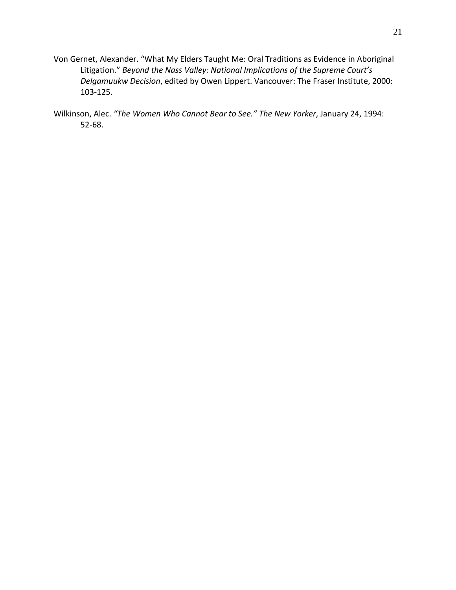- Von Gernet, Alexander. "What My Elders Taught Me: Oral Traditions as Evidence in Aboriginal Litigation." *Beyond the Nass Valley: National Implications of the Supreme Court's Delgamuukw Decision*, edited by Owen Lippert. Vancouver: The Fraser Institute, 2000: 103-125.
- Wilkinson, Alec. *"The Women Who Cannot Bear to See." The New Yorker*, January 24, 1994: 52-68.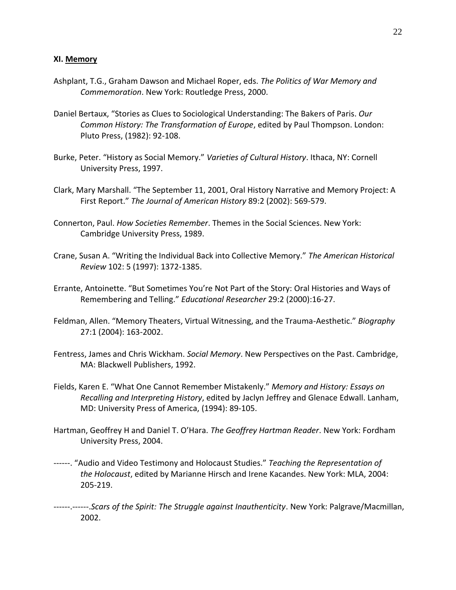- Ashplant, T.G., Graham Dawson and Michael Roper, eds. *The Politics of War Memory and Commemoration*. New York: Routledge Press, 2000.
- Daniel Bertaux, "Stories as Clues to Sociological Understanding: The Bakers of Paris. *Our Common History: The Transformation of Europe*, edited by Paul Thompson. London: Pluto Press, (1982): 92-108.
- Burke, Peter. "History as Social Memory." *Varieties of Cultural History*. Ithaca, NY: Cornell University Press, 1997.
- Clark, Mary Marshall. "The September 11, 2001, Oral History Narrative and Memory Project: A First Report." *The Journal of American History* 89:2 (2002): 569-579.
- Connerton, Paul. *How Societies Remember*. Themes in the Social Sciences. New York: Cambridge University Press, 1989.
- Crane, Susan A. "Writing the Individual Back into Collective Memory." *The American Historical Review* 102: 5 (1997): 1372-1385.
- Errante, Antoinette. "But Sometimes You're Not Part of the Story: Oral Histories and Ways of Remembering and Telling." *Educational Researcher* 29:2 (2000):16-27.
- Feldman, Allen. "Memory Theaters, Virtual Witnessing, and the Trauma-Aesthetic." *Biography* 27:1 (2004): 163-2002.
- Fentress, James and Chris Wickham. *Social Memory*. New Perspectives on the Past. Cambridge, MA: Blackwell Publishers, 1992.
- Fields, Karen E. "What One Cannot Remember Mistakenly." *Memory and History: Essays on Recalling and Interpreting History*, edited by Jaclyn Jeffrey and Glenace Edwall. Lanham, MD: University Press of America, (1994): 89-105.
- Hartman, Geoffrey H and Daniel T. O'Hara. *The Geoffrey Hartman Reader*. New York: Fordham University Press, 2004.
- ------. "Audio and Video Testimony and Holocaust Studies." *Teaching the Representation of the Holocaust*, edited by Marianne Hirsch and Irene Kacandes. New York: MLA, 2004: 205-219.
- ------.------.*Scars of the Spirit: The Struggle against Inauthenticity*. New York: Palgrave/Macmillan, 2002.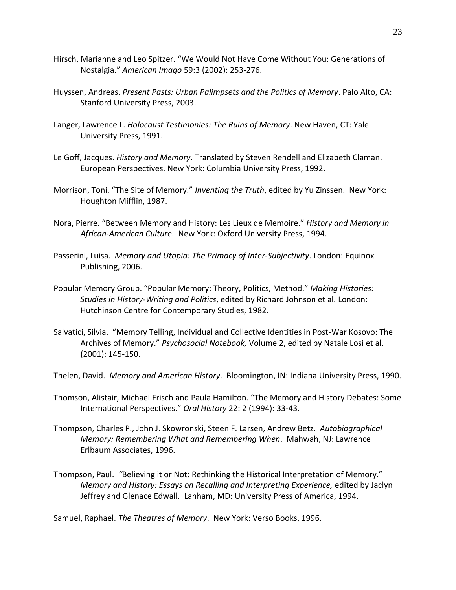- Hirsch, Marianne and Leo Spitzer. "We Would Not Have Come Without You: Generations of Nostalgia." *American Imago* 59:3 (2002): 253-276.
- Huyssen, Andreas. *Present Pasts: Urban Palimpsets and the Politics of Memory*. Palo Alto, CA: Stanford University Press, 2003.
- Langer, Lawrence L. *Holocaust Testimonies: The Ruins of Memory*. New Haven, CT: Yale University Press, 1991.
- Le Goff, Jacques. *History and Memory*. Translated by Steven Rendell and Elizabeth Claman. European Perspectives. New York: Columbia University Press, 1992.
- Morrison, Toni. "The Site of Memory." *Inventing the Truth*, edited by Yu Zinssen. New York: Houghton Mifflin, 1987.
- Nora, Pierre. "Between Memory and History: Les Lieux de Memoire." *History and Memory in African-American Culture*. New York: Oxford University Press, 1994.
- Passerini, Luisa. *Memory and Utopia: The Primacy of Inter-Subjectivity*. London: Equinox Publishing, 2006.
- Popular Memory Group. "Popular Memory: Theory, Politics, Method." *Making Histories: Studies in History-Writing and Politics*, edited by Richard Johnson et al. London: Hutchinson Centre for Contemporary Studies, 1982.
- Salvatici, Silvia. "Memory Telling, Individual and Collective Identities in Post-War Kosovo: The Archives of Memory." *Psychosocial Notebook,* Volume 2, edited by Natale Losi et al. (2001): 145-150.
- Thelen, David. *Memory and American History*. Bloomington, IN: Indiana University Press, 1990.
- Thomson, Alistair, Michael Frisch and Paula Hamilton. "The Memory and History Debates: Some International Perspectives." *Oral History* 22: 2 (1994): 33-43.
- Thompson, Charles P., John J. Skowronski, Steen F. Larsen, Andrew Betz. *Autobiographical Memory: Remembering What and Remembering When*. Mahwah, NJ: Lawrence Erlbaum Associates, 1996.
- Thompson, Paul. *"*Believing it or Not: Rethinking the Historical Interpretation of Memory." *Memory and History: Essays on Recalling and Interpreting Experience,* edited by Jaclyn Jeffrey and Glenace Edwall. Lanham, MD: University Press of America, 1994.

Samuel, Raphael. *The Theatres of Memory*. New York: Verso Books, 1996.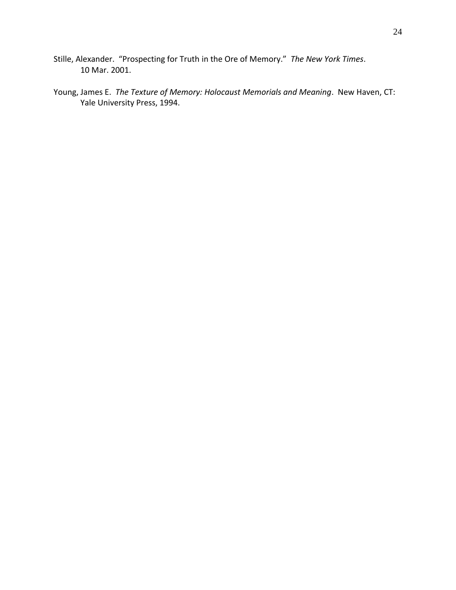- Stille, Alexander. "Prospecting for Truth in the Ore of Memory." *The New York Times*. 10 Mar. 2001.
- Young, James E. *The Texture of Memory: Holocaust Memorials and Meaning*. New Haven, CT: Yale University Press, 1994.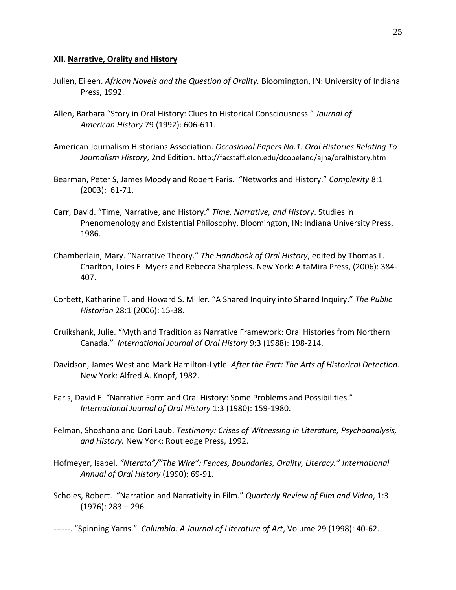#### **XII. Narrative, Orality and History**

- Julien, Eileen. *African Novels and the Question of Orality.* Bloomington, IN: University of Indiana Press, 1992.
- Allen, Barbara "Story in Oral History: Clues to Historical Consciousness." *Journal of American History* 79 (1992): 606-611.
- American Journalism Historians Association. *Occasional Papers No.1: Oral Histories Relating To Journalism History*, 2nd Edition. http://facstaff.elon.edu/dcopeland/ajha/oralhistory.htm
- Bearman, Peter S, James Moody and Robert Faris*.* "Networks and History." *Complexity* 8:1 (2003): 61-71.
- Carr, David. "Time, Narrative, and History." *Time, Narrative, and History*. Studies in Phenomenology and Existential Philosophy. Bloomington, IN: Indiana University Press, 1986.
- Chamberlain, Mary. "Narrative Theory." *The Handbook of Oral History*, edited by Thomas L. Charlton, Loies E. Myers and Rebecca Sharpless. New York: AltaMira Press, (2006): 384- 407.
- Corbett, Katharine T. and Howard S. Miller. "A Shared Inquiry into Shared Inquiry." *The Public Historian* 28:1 (2006): 15-38.
- Cruikshank, Julie. "Myth and Tradition as Narrative Framework: Oral Histories from Northern Canada." *International Journal of Oral History* 9:3 (1988): 198-214.
- Davidson, James West and Mark Hamilton-Lytle. *After the Fact: The Arts of Historical Detection.* New York: Alfred A. Knopf, 1982.
- Faris, David E. "Narrative Form and Oral History: Some Problems and Possibilities." *International Journal of Oral History* 1:3 (1980): 159-1980.
- Felman, Shoshana and Dori Laub. *Testimony: Crises of Witnessing in Literature, Psychoanalysis, and History.* New York: Routledge Press, 1992.
- Hofmeyer, Isabel. *"Nterata"/"The Wire": Fences, Boundaries, Orality, Literacy." International Annual of Oral History* (1990): 69-91.
- Scholes, Robert. "Narration and Narrativity in Film." *Quarterly Review of Film and Video*, 1:3 (1976): 283 – 296.
- ------. "Spinning Yarns." *Columbia: A Journal of Literature of Art*, Volume 29 (1998): 40-62.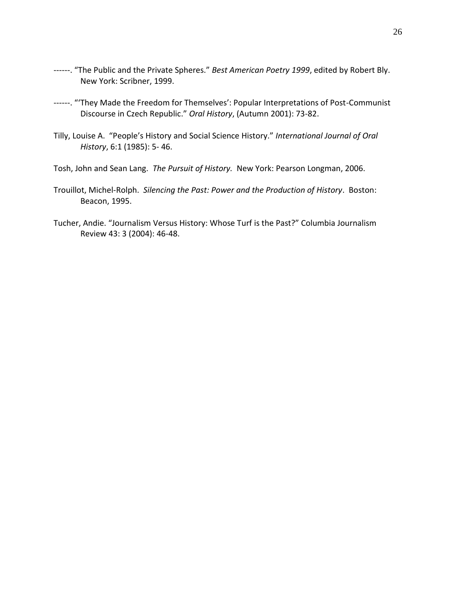- ------. "The Public and the Private Spheres." *Best American Poetry 1999*, edited by Robert Bly. New York: Scribner, 1999.
- ------. "'They Made the Freedom for Themselves': Popular Interpretations of Post-Communist Discourse in Czech Republic." *Oral History*, (Autumn 2001): 73-82.
- Tilly, Louise A. "People's History and Social Science History." *International Journal of Oral History*, 6:1 (1985): 5- 46.
- Tosh, John and Sean Lang. *The Pursuit of History.* New York: Pearson Longman, 2006.
- Trouillot, Michel-Rolph. *Silencing the Past: Power and the Production of History*. Boston: Beacon, 1995.
- Tucher, Andie. "Journalism Versus History: Whose Turf is the Past?" Columbia Journalism Review 43: 3 (2004): 46-48.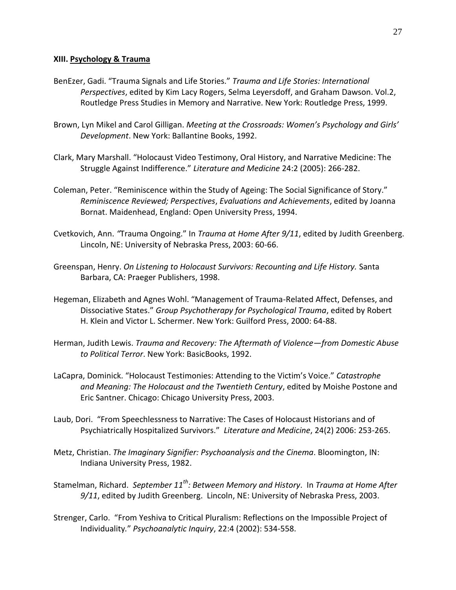## **XIII. Psychology & Trauma**

- BenEzer, Gadi. "Trauma Signals and Life Stories." *Trauma and Life Stories: International Perspectives*, edited by Kim Lacy Rogers, Selma Leyersdoff, and Graham Dawson. Vol.2, Routledge Press Studies in Memory and Narrative. New York: Routledge Press, 1999.
- Brown, Lyn Mikel and Carol Gilligan. *Meeting at the Crossroads: Women's Psychology and Girls' Development*. New York: Ballantine Books, 1992.
- Clark, Mary Marshall. "Holocaust Video Testimony, Oral History, and Narrative Medicine: The Struggle Against Indifference." *Literature and Medicine* 24:2 (2005): 266-282.
- Coleman, Peter. "Reminiscence within the Study of Ageing: The Social Significance of Story." *Reminiscence Reviewed; Perspectives*, *Evaluations and Achievements*, edited by Joanna Bornat. Maidenhead, England: Open University Press, 1994.
- Cvetkovich, Ann. *"*Trauma Ongoing." In *Trauma at Home After 9/11*, edited by Judith Greenberg. Lincoln, NE: University of Nebraska Press, 2003: 60-66.
- Greenspan, Henry. *On Listening to Holocaust Survivors: Recounting and Life History.* Santa Barbara, CA: Praeger Publishers, 1998.
- Hegeman, Elizabeth and Agnes Wohl. "Management of Trauma-Related Affect, Defenses, and Dissociative States." *Group Psychotherapy for Psychological Trauma*, edited by Robert H. Klein and Victor L. Schermer. New York: Guilford Press, 2000: 64-88.
- Herman, Judith Lewis. *Trauma and Recovery: The Aftermath of Violence—from Domestic Abuse to Political Terror*. New York: BasicBooks, 1992.
- LaCapra, Dominick. "Holocaust Testimonies: Attending to the Victim's Voice." *Catastrophe and Meaning: The Holocaust and the Twentieth Century*, edited by Moishe Postone and Eric Santner. Chicago: Chicago University Press, 2003.
- Laub, Dori. "From Speechlessness to Narrative: The Cases of Holocaust Historians and of Psychiatrically Hospitalized Survivors." *Literature and Medicine*, 24(2) 2006: 253-265.
- Metz, Christian. *The Imaginary Signifier: Psychoanalysis and the Cinema*. Bloomington, IN: Indiana University Press, 1982.
- Stamelman, Richard. *September 11th: Between Memory and History*. In *Trauma at Home After 9/11*, edited by Judith Greenberg. Lincoln, NE: University of Nebraska Press, 2003.
- Strenger, Carlo. "From Yeshiva to Critical Pluralism: Reflections on the Impossible Project of Individuality*.*" *Psychoanalytic Inquiry*, 22:4 (2002): 534-558.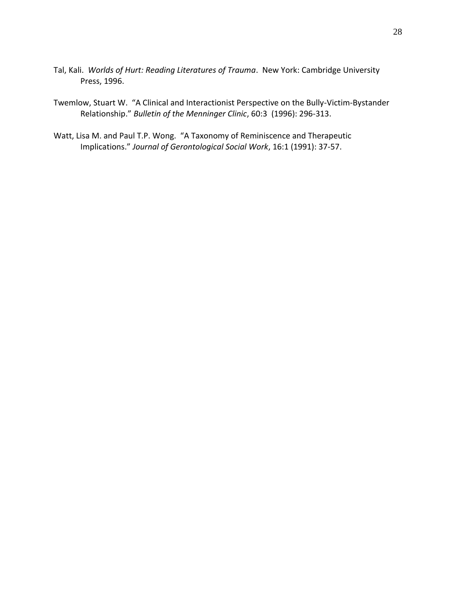Tal, Kali. *Worlds of Hurt: Reading Literatures of Trauma*. New York: Cambridge University Press, 1996.

Twemlow, Stuart W. "A Clinical and Interactionist Perspective on the Bully-Victim-Bystander Relationship." *Bulletin of the Menninger Clinic*, 60:3 (1996): 296-313.

Watt, Lisa M. and Paul T.P. Wong. "A Taxonomy of Reminiscence and Therapeutic Implications." *Journal of Gerontological Social Work*, 16:1 (1991): 37-57.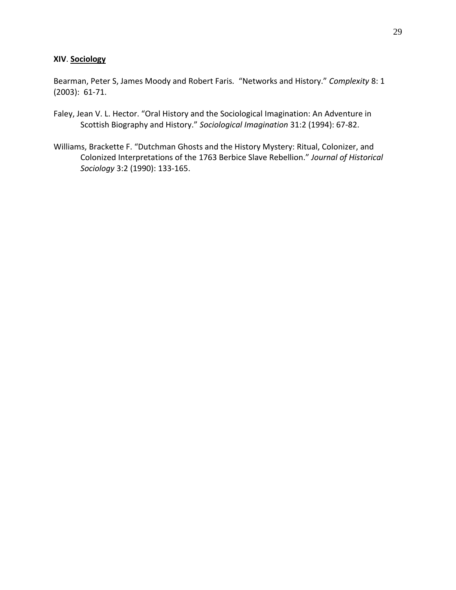## **XIV**. **Sociology**

Bearman, Peter S, James Moody and Robert Faris*.* "Networks and History." *Complexity* 8: 1 (2003): 61-71.

- Faley, Jean V. L. Hector. "Oral History and the Sociological Imagination: An Adventure in Scottish Biography and History." *Sociological Imagination* 31:2 (1994): 67-82.
- Williams, Brackette F. "Dutchman Ghosts and the History Mystery: Ritual, Colonizer, and Colonized Interpretations of the 1763 Berbice Slave Rebellion." *Journal of Historical Sociology* 3:2 (1990): 133-165.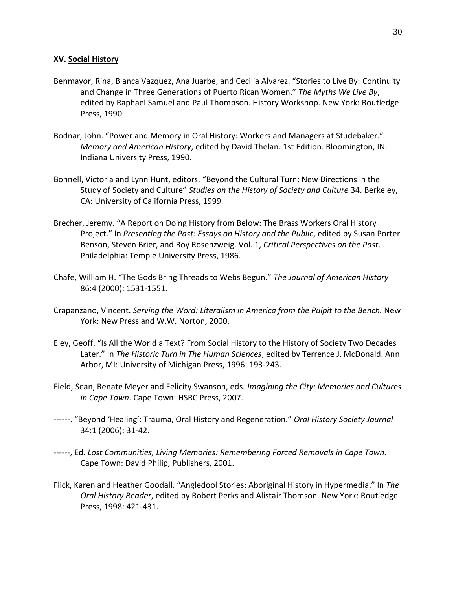## **XV. Social History**

- Benmayor, Rina, Blanca Vazquez, Ana Juarbe, and Cecilia Alvarez. "Stories to Live By: Continuity and Change in Three Generations of Puerto Rican Women." *The Myths We Live By*, edited by Raphael Samuel and Paul Thompson. History Workshop. New York: Routledge Press, 1990.
- Bodnar, John. "Power and Memory in Oral History: Workers and Managers at Studebaker." *Memory and American History*, edited by David Thelan. 1st Edition. Bloomington, IN: Indiana University Press, 1990.
- Bonnell, Victoria and Lynn Hunt, editors. "Beyond the Cultural Turn: New Directions in the Study of Society and Culture" *Studies on the History of Society and Culture* 34. Berkeley, CA: University of California Press, 1999.
- Brecher, Jeremy. "A Report on Doing History from Below: The Brass Workers Oral History Project." In *Presenting the Past: Essays on History and the Public*, edited by Susan Porter Benson, Steven Brier, and Roy Rosenzweig. Vol. 1, *Critical Perspectives on the Past*. Philadelphia: Temple University Press, 1986.
- Chafe, William H. "The Gods Bring Threads to Webs Begun." *The Journal of American History*  86:4 (2000): 1531-1551.
- Crapanzano, Vincent. *Serving the Word: Literalism in America from the Pulpit to the Bench.* New York: New Press and W.W. Norton, 2000.
- Eley, Geoff. "Is All the World a Text? From Social History to the History of Society Two Decades Later." In *The Historic Turn in The Human Sciences*, edited by Terrence J. McDonald. Ann Arbor, MI: University of Michigan Press, 1996: 193-243.
- Field, Sean, Renate Meyer and Felicity Swanson, eds. *Imagining the City: Memories and Cultures in Cape Town*. Cape Town: HSRC Press, 2007.
- ------. "Beyond 'Healing': Trauma, Oral History and Regeneration." *Oral History Society Journal* 34:1 (2006): 31-42.
- ------, Ed. *Lost Communities, Living Memories: Remembering Forced Removals in Cape Town*. Cape Town: David Philip, Publishers, 2001.
- Flick, Karen and Heather Goodall. "Angledool Stories: Aboriginal History in Hypermedia." In *The Oral History Reader*, edited by Robert Perks and Alistair Thomson. New York: Routledge Press, 1998: 421-431.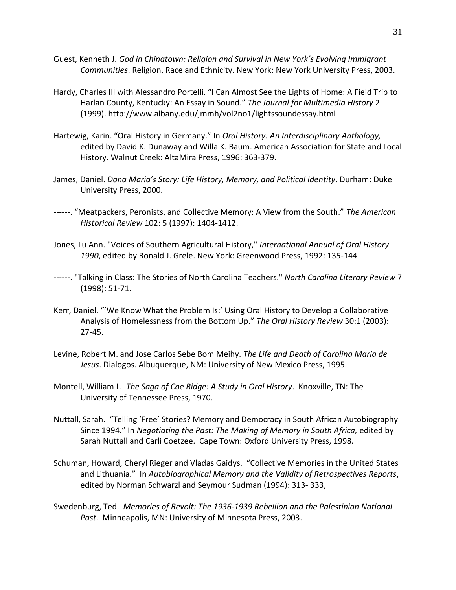- Guest, Kenneth J. *God in Chinatown: Religion and Survival in New York's Evolving Immigrant Communities*. Religion, Race and Ethnicity. New York: New York University Press, 2003.
- Hardy, Charles III with Alessandro Portelli. "I Can Almost See the Lights of Home: A Field Trip to Harlan County, Kentucky: An Essay in Sound." *The Journal for Multimedia History* 2 (1999). http://www.albany.edu/jmmh/vol2no1/lightssoundessay.html
- Hartewig, Karin. "Oral History in Germany." In *Oral History: An Interdisciplinary Anthology,*  edited by David K. Dunaway and Willa K. Baum. American Association for State and Local History. Walnut Creek: AltaMira Press, 1996: 363-379.
- James, Daniel. *Dona Maria's Story: Life History, Memory, and Political Identity*. Durham: Duke University Press, 2000.
- ------. "Meatpackers, Peronists, and Collective Memory: A View from the South." *The American Historical Review* 102: 5 (1997): 1404-1412.
- Jones, Lu Ann. "Voices of Southern Agricultural History," *International Annual of Oral History 1990*, edited by Ronald J. Grele. New York: Greenwood Press, 1992: 135-144
- ------. "Talking in Class: The Stories of North Carolina Teachers." *North Carolina Literary Review* 7 (1998): 51-71.
- Kerr, Daniel. "'We Know What the Problem Is:' Using Oral History to Develop a Collaborative Analysis of Homelessness from the Bottom Up." *The Oral History Review* 30:1 (2003): 27-45.
- Levine, Robert M. and Jose Carlos Sebe Bom Meihy. *The Life and Death of Carolina Maria de Jesus*. Dialogos. Albuquerque, NM: University of New Mexico Press, 1995.
- Montell, William L. *The Saga of Coe Ridge: A Study in Oral History*. Knoxville, TN: The University of Tennessee Press, 1970.
- Nuttall, Sarah. "Telling 'Free' Stories? Memory and Democracy in South African Autobiography Since 1994." In *Negotiating the Past: The Making of Memory in South Africa,* edited by Sarah Nuttall and Carli Coetzee. Cape Town: Oxford University Press, 1998.
- Schuman, Howard, Cheryl Rieger and Vladas Gaidys. "Collective Memories in the United States and Lithuania." In *Autobiographical Memory and the Validity of Retrospectives Reports*, edited by Norman Schwarzl and Seymour Sudman (1994): 313- 333,
- Swedenburg, Ted. *Memories of Revolt: The 1936-1939 Rebellion and the Palestinian National Past*. Minneapolis, MN: University of Minnesota Press, 2003.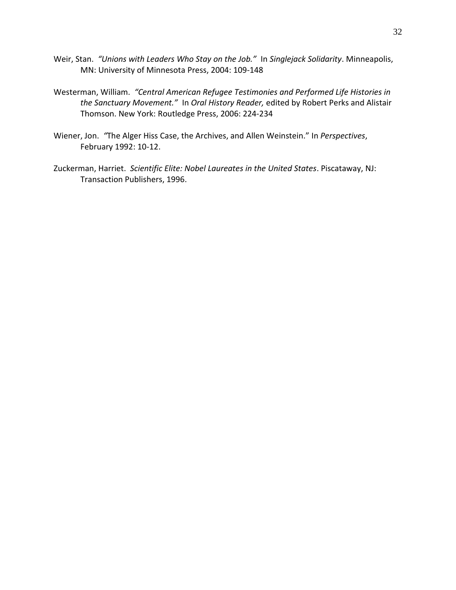- Weir, Stan. *"Unions with Leaders Who Stay on the Job."* In *Singlejack Solidarity*. Minneapolis, MN: University of Minnesota Press, 2004: 109-148
- Westerman, William. *"Central American Refugee Testimonies and Performed Life Histories in the Sanctuary Movement."* In *Oral History Reader,* edited by Robert Perks and Alistair Thomson. New York: Routledge Press, 2006: 224-234
- Wiener, Jon. *"*The Alger Hiss Case, the Archives, and Allen Weinstein." In *Perspectives*, February 1992: 10-12.
- Zuckerman, Harriet. *Scientific Elite: Nobel Laureates in the United States*. Piscataway, NJ: Transaction Publishers, 1996.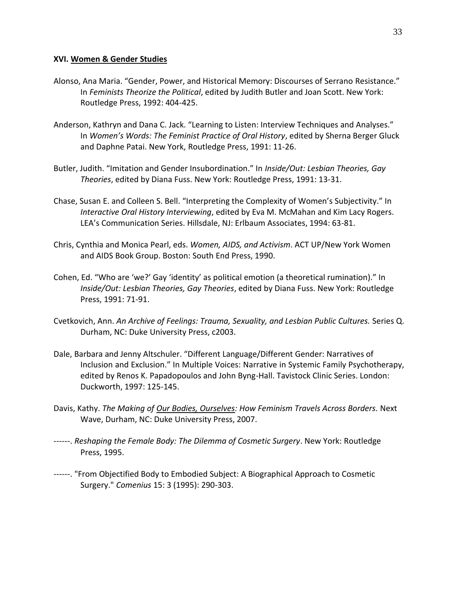#### **XVI. Women & Gender Studies**

- Alonso, Ana Maria. "Gender, Power, and Historical Memory: Discourses of Serrano Resistance." In *Feminists Theorize the Political*, edited by Judith Butler and Joan Scott. New York: Routledge Press, 1992: 404-425.
- Anderson, Kathryn and Dana C. Jack. "Learning to Listen: Interview Techniques and Analyses." In *Women's Words: The Feminist Practice of Oral History*, edited by Sherna Berger Gluck and Daphne Patai. New York, Routledge Press, 1991: 11-26.
- Butler, Judith. "Imitation and Gender Insubordination." In *Inside/Out: Lesbian Theories, Gay Theories*, edited by Diana Fuss. New York: Routledge Press, 1991: 13-31.
- Chase, Susan E. and Colleen S. Bell. "Interpreting the Complexity of Women's Subjectivity." In *Interactive Oral History Interviewing*, edited by Eva M. McMahan and Kim Lacy Rogers. LEA's Communication Series. Hillsdale, NJ: Erlbaum Associates, 1994: 63-81.
- Chris, Cynthia and Monica Pearl, eds. *Women, AIDS, and Activism*. ACT UP/New York Women and AIDS Book Group. Boston: South End Press, 1990.
- Cohen, Ed. "Who are 'we?' Gay 'identity' as political emotion (a theoretical rumination)." In *Inside/Out: Lesbian Theories, Gay Theories*, edited by Diana Fuss. New York: Routledge Press, 1991: 71-91.
- Cvetkovich, Ann. *An Archive of Feelings: Trauma, Sexuality, and Lesbian Public Cultures.* Series Q. Durham, NC: Duke University Press, c2003.
- Dale, Barbara and Jenny Altschuler. "Different Language/Different Gender: Narratives of Inclusion and Exclusion." In Multiple Voices: Narrative in Systemic Family Psychotherapy, edited by Renos K. Papadopoulos and John Byng-Hall. Tavistock Clinic Series. London: Duckworth, 1997: 125-145.
- Davis, Kathy. *The Making of Our Bodies, Ourselves: How Feminism Travels Across Borders.* Next Wave, Durham, NC: Duke University Press, 2007.
- ------. *Reshaping the Female Body: The Dilemma of Cosmetic Surgery*. New York: Routledge Press, 1995.
- ------. "From Objectified Body to Embodied Subject: A Biographical Approach to Cosmetic Surgery." *Comenius* 15: 3 (1995): 290-303.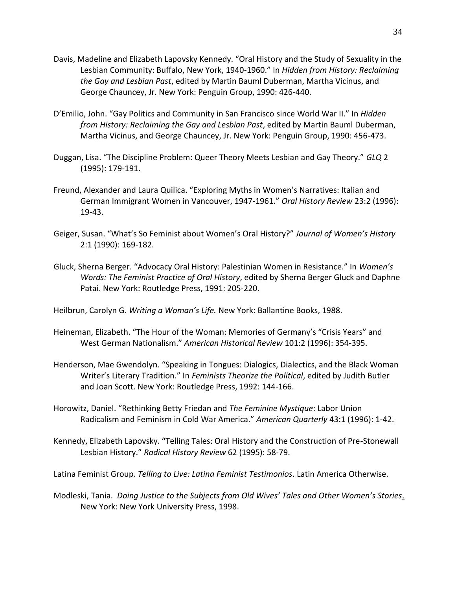- Davis, Madeline and Elizabeth Lapovsky Kennedy. "Oral History and the Study of Sexuality in the Lesbian Community: Buffalo, New York, 1940-1960." In *Hidden from History: Reclaiming the Gay and Lesbian Past*, edited by Martin Bauml Duberman, Martha Vicinus, and George Chauncey, Jr. New York: Penguin Group, 1990: 426-440.
- D'Emilio, John. "Gay Politics and Community in San Francisco since World War II." In *Hidden from History: Reclaiming the Gay and Lesbian Past*, edited by Martin Bauml Duberman, Martha Vicinus, and George Chauncey, Jr. New York: Penguin Group, 1990: 456-473.
- Duggan, Lisa. "The Discipline Problem: Queer Theory Meets Lesbian and Gay Theory." *GLQ* 2 (1995): 179-191.
- Freund, Alexander and Laura Quilica. "Exploring Myths in Women's Narratives: Italian and German Immigrant Women in Vancouver, 1947-1961." *Oral History Review* 23:2 (1996): 19-43.
- Geiger, Susan. "What's So Feminist about Women's Oral History?" *Journal of Women's History* 2:1 (1990): 169-182.
- Gluck, Sherna Berger. "Advocacy Oral History: Palestinian Women in Resistance." In *Women's Words: The Feminist Practice of Oral History*, edited by Sherna Berger Gluck and Daphne Patai. New York: Routledge Press, 1991: 205-220.

Heilbrun, Carolyn G. *Writing a Woman's Life.* New York: Ballantine Books, 1988.

- Heineman, Elizabeth. "The Hour of the Woman: Memories of Germany's "Crisis Years" and West German Nationalism." *American Historical Review* 101:2 (1996): 354-395.
- Henderson, Mae Gwendolyn. "Speaking in Tongues: Dialogics, Dialectics, and the Black Woman Writer's Literary Tradition." In *Feminists Theorize the Political*, edited by Judith Butler and Joan Scott. New York: Routledge Press, 1992: 144-166.
- Horowitz, Daniel. "Rethinking Betty Friedan and *The Feminine Mystique*: Labor Union Radicalism and Feminism in Cold War America." *American Quarterly* 43:1 (1996): 1-42.
- Kennedy, Elizabeth Lapovsky. "Telling Tales: Oral History and the Construction of Pre-Stonewall Lesbian History." *Radical History Review* 62 (1995): 58-79.

Latina Feminist Group. *Telling to Live: Latina Feminist Testimonios*. Latin America Otherwise.

Modleski, Tania. *Doing Justice to the Subjects from Old Wives' Tales and Other Women's Stories*. New York: New York University Press, 1998.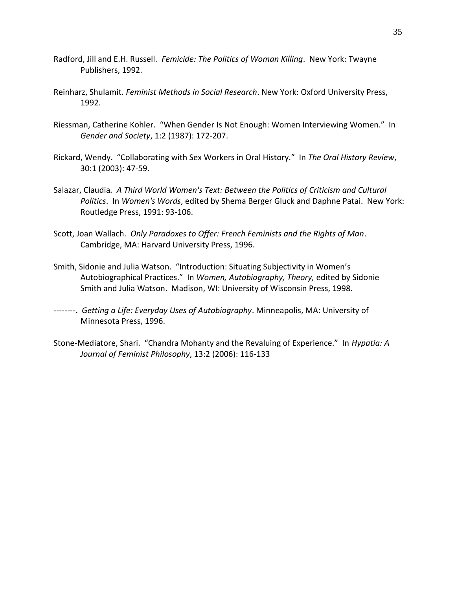- Radford, Jill and E.H. Russell. *Femicide: The Politics of Woman Killing*. New York: Twayne Publishers, 1992.
- Reinharz, Shulamit. *Feminist Methods in Social Research*. New York: Oxford University Press, 1992.
- Riessman, Catherine Kohler. "When Gender Is Not Enough: Women Interviewing Women." In *Gender and Society*, 1:2 (1987): 172-207.
- Rickard, Wendy. "Collaborating with Sex Workers in Oral History*.*" In *The Oral History Review*, 30:1 (2003): 47-59.
- Salazar, Claudia*. A Third World Women's Text: Between the Politics of Criticism and Cultural Politics*. In *Women's Words*, edited by Shema Berger Gluck and Daphne Patai. New York: Routledge Press, 1991: 93-106.
- Scott, Joan Wallach. *Only Paradoxes to Offer: French Feminists and the Rights of Man*. Cambridge, MA: Harvard University Press, 1996.
- Smith, Sidonie and Julia Watson. "Introduction: Situating Subjectivity in Women's Autobiographical Practices." In *Women, Autobiography, Theory,* edited by Sidonie Smith and Julia Watson. Madison, WI: University of Wisconsin Press, 1998.
- --------. *Getting a Life: Everyday Uses of Autobiography*. Minneapolis, MA: University of Minnesota Press, 1996.
- Stone-Mediatore, Shari. "Chandra Mohanty and the Revaluing of Experience." In *Hypatia: A Journal of Feminist Philosophy*, 13:2 (2006): 116-133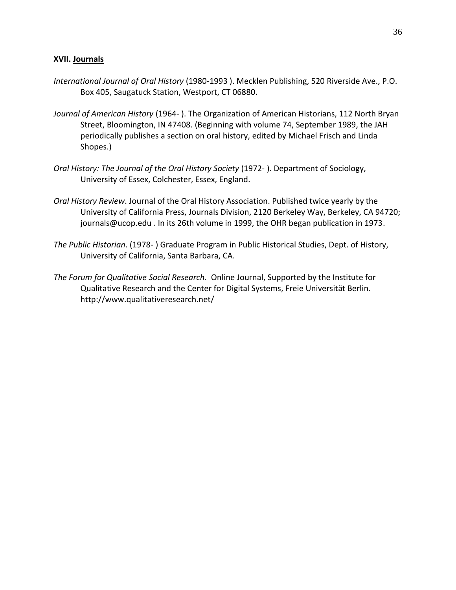## **XVII. Journals**

- *International Journal of Oral History* (1980-1993 ). Mecklen Publishing, 520 Riverside Ave., P.O. Box 405, Saugatuck Station, Westport, CT 06880.
- *Journal of American History* (1964- ). The Organization of American Historians, 112 North Bryan Street, Bloomington, IN 47408. (Beginning with volume 74, September 1989, the JAH periodically publishes a section on oral history, edited by Michael Frisch and Linda Shopes.)
- *Oral History: The Journal of the Oral History Society* (1972- ). Department of Sociology, University of Essex, Colchester, Essex, England.
- *Oral History Review*. Journal of the Oral History Association. Published twice yearly by the University of California Press, Journals Division, 2120 Berkeley Way, Berkeley, CA 94720; journals@ucop.edu . In its 26th volume in 1999, the OHR began publication in 1973.
- *The Public Historian*. (1978- ) Graduate Program in Public Historical Studies, Dept. of History, University of California, Santa Barbara, CA.
- *The Forum for Qualitative Social Research.* Online Journal, Supported by the Institute for Qualitative Research and the Center for Digital Systems, Freie Universität Berlin. http://www.qualitativeresearch.net/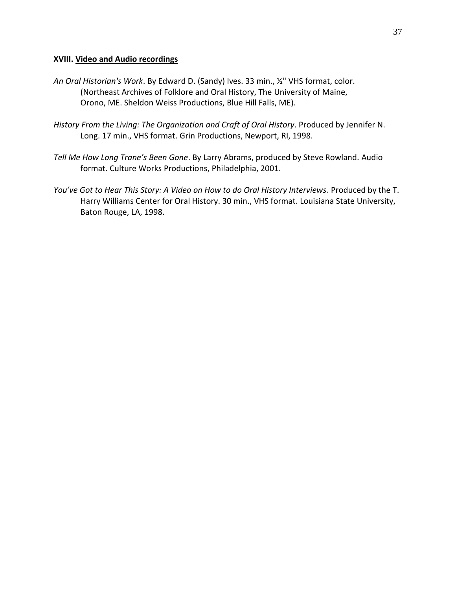## **XVIII. Video and Audio recordings**

- *An Oral Historian's Work*. By Edward D. (Sandy) Ives. 33 min., ½" VHS format, color. (Northeast Archives of Folklore and Oral History, The University of Maine, Orono, ME. Sheldon Weiss Productions, Blue Hill Falls, ME).
- *History From the Living: The Organization and Craft of Oral History*. Produced by Jennifer N. Long. 17 min., VHS format. Grin Productions, Newport, RI, 1998.
- *Tell Me How Long Trane's Been Gone*. By Larry Abrams, produced by Steve Rowland. Audio format. Culture Works Productions, Philadelphia, 2001.
- *You've Got to Hear This Story: A Video on How to do Oral History Interviews*. Produced by the T. Harry Williams Center for Oral History. 30 min., VHS format. Louisiana State University, Baton Rouge, LA, 1998.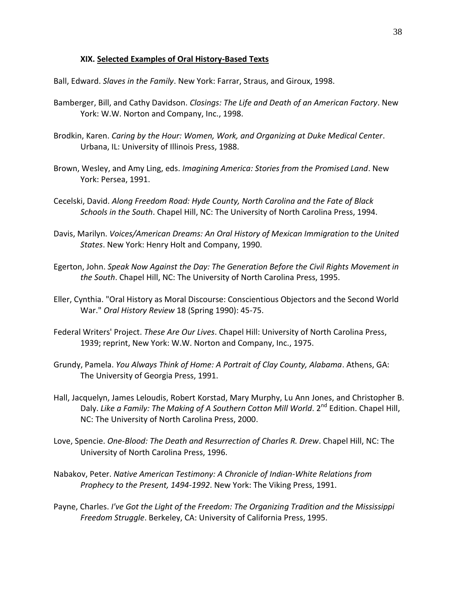## **XIX. Selected Examples of Oral History-Based Texts**

Ball, Edward. *Slaves in the Family*. New York: Farrar, Straus, and Giroux, 1998.

- Bamberger, Bill, and Cathy Davidson. *Closings: The Life and Death of an American Factory*. New York: W.W. Norton and Company, Inc., 1998.
- Brodkin, Karen. *Caring by the Hour: Women, Work, and Organizing at Duke Medical Center*. Urbana, IL: University of Illinois Press, 1988.
- Brown, Wesley, and Amy Ling, eds. *Imagining America: Stories from the Promised Land*. New York: Persea, 1991.
- Cecelski, David. *Along Freedom Road: Hyde County, North Carolina and the Fate of Black Schools in the South*. Chapel Hill, NC: The University of North Carolina Press, 1994.
- Davis, Marilyn. *Voices/American Dreams: An Oral History of Mexican Immigration to the United States*. New York: Henry Holt and Company, 1990.
- Egerton, John. *Speak Now Against the Day: The Generation Before the Civil Rights Movement in the South*. Chapel Hill, NC: The University of North Carolina Press, 1995.
- Eller, Cynthia. "Oral History as Moral Discourse: Conscientious Objectors and the Second World War." *Oral History Review* 18 (Spring 1990): 45-75.
- Federal Writers' Project. *These Are Our Lives*. Chapel Hill: University of North Carolina Press, 1939; reprint, New York: W.W. Norton and Company, Inc., 1975.
- Grundy, Pamela. *You Always Think of Home: A Portrait of Clay County, Alabama*. Athens, GA: The University of Georgia Press, 1991.
- Hall, Jacquelyn, James Leloudis, Robert Korstad, Mary Murphy, Lu Ann Jones, and Christopher B. Daly. Like a Family: The Making of A Southern Cotton Mill World. 2<sup>nd</sup> Edition. Chapel Hill, NC: The University of North Carolina Press, 2000.
- Love, Spencie. *One-Blood: The Death and Resurrection of Charles R. Drew*. Chapel Hill, NC: The University of North Carolina Press, 1996.
- Nabakov, Peter. *Native American Testimony: A Chronicle of Indian-White Relations from Prophecy to the Present, 1494-1992*. New York: The Viking Press, 1991.
- Payne, Charles. *I've Got the Light of the Freedom: The Organizing Tradition and the Mississippi Freedom Struggle*. Berkeley, CA: University of California Press, 1995.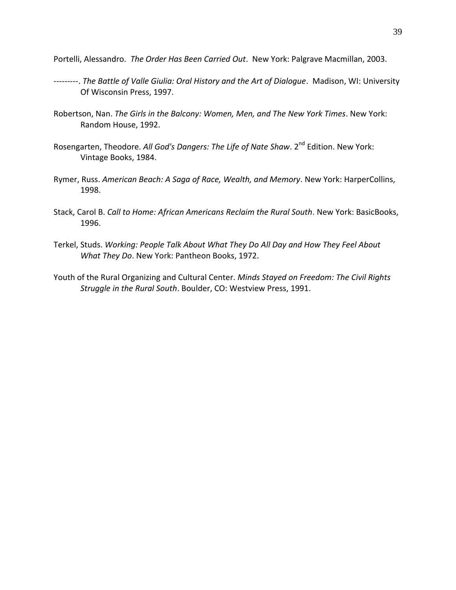Portelli, Alessandro. *The Order Has Been Carried Out*. New York: Palgrave Macmillan, 2003.

- ---------. *The Battle of Valle Giulia: Oral History and the Art of Dialogue*. Madison, WI: University Of Wisconsin Press, 1997.
- Robertson, Nan. *The Girls in the Balcony: Women, Men, and The New York Times*. New York: Random House, 1992.
- Rosengarten, Theodore. All God's Dangers: The Life of Nate Shaw. 2<sup>nd</sup> Edition. New York: Vintage Books, 1984.
- Rymer, Russ. *American Beach: A Saga of Race, Wealth, and Memory*. New York: HarperCollins, 1998.
- Stack, Carol B. *Call to Home: African Americans Reclaim the Rural South*. New York: BasicBooks, 1996.
- Terkel, Studs. *Working: People Talk About What They Do All Day and How They Feel About What They Do*. New York: Pantheon Books, 1972.
- Youth of the Rural Organizing and Cultural Center. *Minds Stayed on Freedom: The Civil Rights Struggle in the Rural South*. Boulder, CO: Westview Press, 1991.